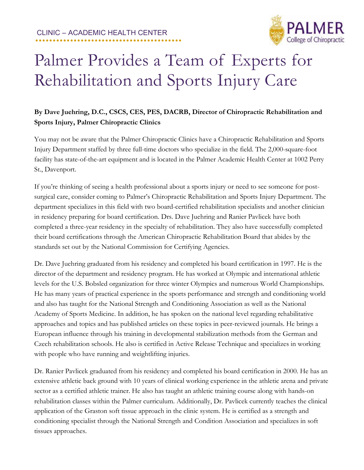CLINIC – ACADEMIC HEALTH CENTER **..........................................**



## Palmer Provides a Team of Experts for Rehabilitation and Sports Injury Care

## **By Dave Juehring, D.C., CSCS, CES, PES, DACRB, Director of Chiropractic Rehabilitation and Sports Injury, Palmer Chiropractic Clinics**

You may not be aware that the Palmer Chiropractic Clinics have a Chiropractic Rehabilitation and Sports Injury Department staffed by three full-time doctors who specialize in the field. The 2,000-square-foot facility has state-of-the-art equipment and is located in the Palmer Academic Health Center at 1002 Perry St., Davenport.

If you're thinking of seeing a health professional about a sports injury or need to see someone for postsurgical care, consider coming to Palmer's Chiropractic Rehabilitation and Sports Injury Department. The department specializes in this field with two board-certified rehabilitation specialists and another clinician in residency preparing for board certification. Drs. Dave Juehring and Ranier Pavlicek have both completed a three-year residency in the specialty of rehabilitation. They also have successfully completed their board certifications through the American Chiropractic Rehabilitation Board that abides by the standards set out by the National Commission for Certifying Agencies.

Dr. Dave Juehring graduated from his residency and completed his board certification in 1997. He is the director of the department and residency program. He has worked at Olympic and international athletic levels for the U.S. Bobsled organization for three winter Olympics and numerous World Championships. He has many years of practical experience in the sports performance and strength and conditioning world and also has taught for the National Strength and Conditioning Association as well as the National Academy of Sports Medicine. In addition, he has spoken on the national level regarding rehabilitative approaches and topics and has published articles on these topics in peer-reviewed journals. He brings a European influence through his training in developmental stabilization methods from the German and Czech rehabilitation schools. He also is certified in Active Release Technique and specializes in working with people who have running and weightlifting injuries.

Dr. Ranier Pavlicek graduated from his residency and completed his board certification in 2000. He has an extensive athletic back ground with 10 years of clinical working experience in the athletic arena and private sector as a certified athletic trainer. He also has taught an athletic training course along with hands-on rehabilitation classes within the Palmer curriculum. Additionally, Dr. Pavlicek currently teaches the clinical application of the Graston soft tissue approach in the clinic system. He is certified as a strength and conditioning specialist through the National Strength and Condition Association and specializes in soft tissues approaches.